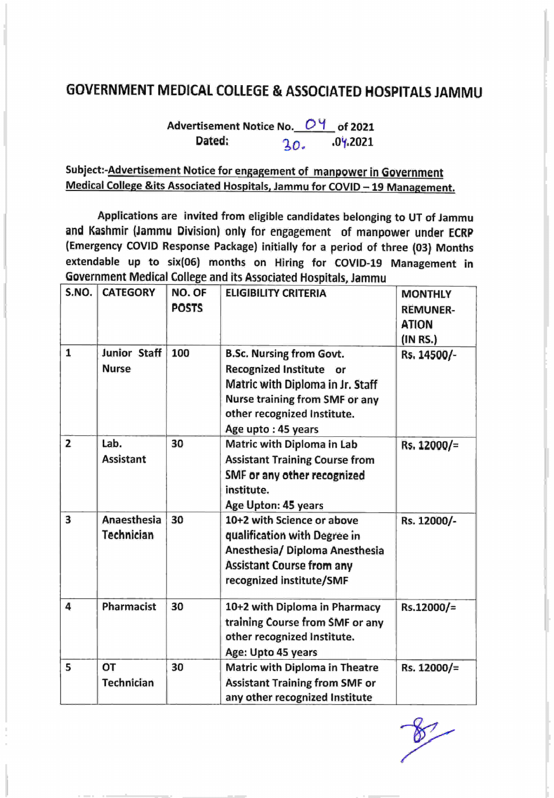## GOVERNMENT MEDICAL COLLEGE & ASSOCIATED HOSPITALS JAMMU

Advertisement Notice No. 04 of 2021 Dated:  $20. 04.2021$ 

## Subject:-**Advertisement Notice for engagement of manpower in Government** Medical College &its Associated Hospitals, Jammu for COVID - 19 Management.

Applications are invited from eligible candidates belonging to UT of Jammu and Kashmir (Jammu Division) only for engagement of manpower under ECRp (Emergency COVID Response Package) initially for a period of three (03) Months extendable up to six(06) months on Hiring for COVID-19 Management in Government Medical College and its Associated Hospitals,lammu

| S.NO.          | <b>CATEGORY</b>              | NO. OF<br><b>POSTS</b> | <b>ELIGIBILITY CRITERIA</b>                                                                                                                                                                  | <b>MONTHLY</b><br><b>REMUNER-</b><br><b>ATION</b><br>(1NRS) |
|----------------|------------------------------|------------------------|----------------------------------------------------------------------------------------------------------------------------------------------------------------------------------------------|-------------------------------------------------------------|
| 1              | Junior Staff<br><b>Nurse</b> | 100                    | <b>B.Sc. Nursing from Govt.</b><br>Recognized Institute or<br>Matric with Diploma in Jr. Staff<br><b>Nurse training from SMF or any</b><br>other recognized Institute.<br>Age upto: 45 years | Rs. 14500/-                                                 |
| $\overline{2}$ | Lab.<br><b>Assistant</b>     | 30                     | Matric with Diploma in Lab<br><b>Assistant Training Course from</b><br>SMF or any other recognized<br>institute.<br>Age Upton: 45 years                                                      | Rs. 12000/=                                                 |
| 3              | Anaesthesia<br>Technician    | 30                     | 10+2 with Science or above<br>qualification with Degree in<br>Anesthesia/ Diploma Anesthesia<br><b>Assistant Course from any</b><br>recognized institute/SMF                                 | Rs. 12000/-                                                 |
| 4              | Pharmacist                   | 30                     | 10+2 with Diploma in Pharmacy<br>training Course from SMF or any<br>other recognized Institute.<br>Age: Upto 45 years                                                                        | Rs.12000/=                                                  |
| 5              | OT<br><b>Technician</b>      | 30                     | <b>Matric with Diploma in Theatre</b><br><b>Assistant Training from SMF or</b><br>any other recognized Institute                                                                             | Rs. 12000/=                                                 |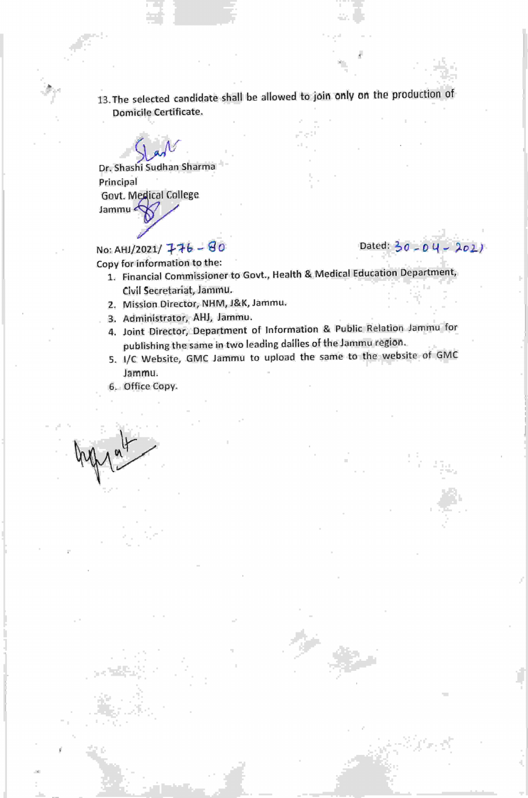13. The selected candidate shall be allowed to join only on the production of Domicile Certificate.

 $\int_{\mathcal{A}} \mathcal{N}$ Dr. Shashi Sudhan Sharma Principal Govt. Medical College Jammu <

I

## No: AHJ/2021/  $\overline{+}$  +b - 80 Dated: 30 - 0 4 - 201) Copy for information to the:

- 1. Financial Commissioner to Govt., Health & Medical Education Department, Civil Secretariat, Jamnru.
- 2. Mission Director, NHM, J&K, Jammu'
- 3. Administrator, AHJ, Jammu.
- 4. Joint Director, Department of lnformation & Public Relation Jammu for publishing the same in two leading dailies of the Jammu region.
- 5. l/c website, GMC Jammu to upload the same to the website of GMC Jammu.
- 6. Office Copy.

 $\frac{1}{2}$